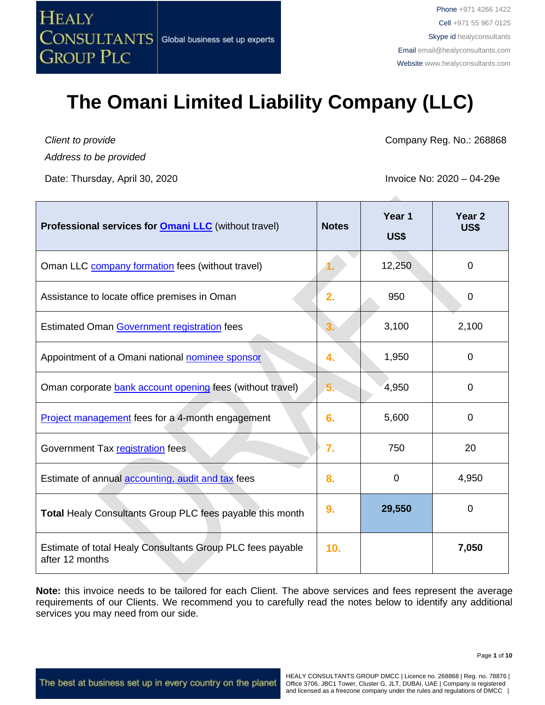

*Client to provide Address to be provided*

Date: Thursday, April 30, 2020 **Invoice No: 2020** - 04-29e

Company Reg. No.: 268868

| Professional services for <b>Omani LLC</b> (without travel)                   | <b>Notes</b>    | Year 1<br>US\$ | Year <sub>2</sub><br><b>US\$</b> |
|-------------------------------------------------------------------------------|-----------------|----------------|----------------------------------|
| Oman LLC <b>company formation</b> fees (without travel)                       | -1.             | 12,250         | $\overline{0}$                   |
| Assistance to locate office premises in Oman                                  | 2.              | 950            | 0                                |
| Estimated Oman Government registration fees                                   | 3.              | 3,100          | 2,100                            |
| Appointment of a Omani national nominee sponsor                               | 4.              | 1,950          | $\Omega$                         |
| Oman corporate bank account opening fees (without travel)                     | 5.              | 4,950          | $\Omega$                         |
| <b>Project management</b> fees for a 4-month engagement                       | 6.              | 5,600          | $\Omega$                         |
| Government Tax registration fees                                              | 7.              | 750            | 20                               |
| Estimate of annual accounting, audit and tax fees                             | 8.              | 0              | 4,950                            |
| <b>Total Healy Consultants Group PLC fees payable this month</b>              | 9.              | 29,550         | 0                                |
| Estimate of total Healy Consultants Group PLC fees payable<br>after 12 months | 10 <sub>1</sub> |                | 7,050                            |

**Note:** this invoice needs to be tailored for each Client. The above services and fees represent the average requirements of our Clients. We recommend you to carefully read the notes below to identify any additional services you may need from our side.

The best at business set up in every country on the planet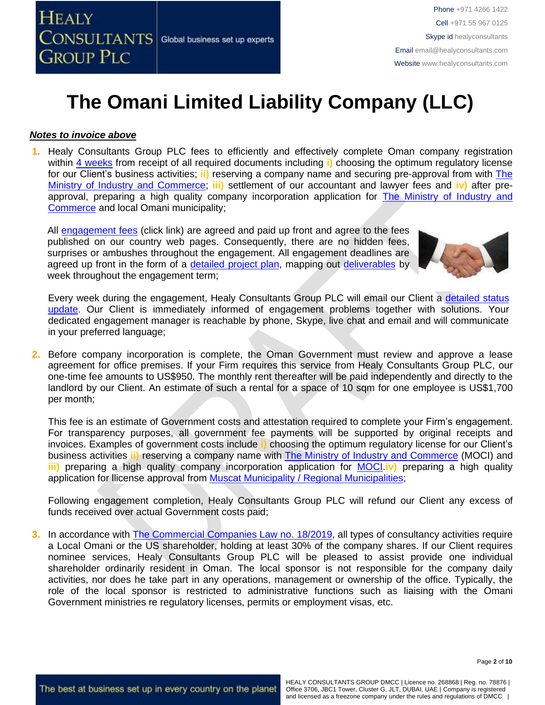#### *Notes to invoice above*

**1.** Healy Consultants Group PLC fees to efficiently and effectively complete Oman company registration within 4 [weeks](http://www.healyconsultants.com/oman-company-registration/fees-timelines/#timelines) from receipt of all required documents including **i)** choosing the optimum regulatory license for our Client's business activities; **ii)** reserving a company name and securing pre-approval from with [The](http://www.mocioman.gov.om/?lang=en-US)  [Ministry of Industry and Commerce;](http://www.mocioman.gov.om/?lang=en-US) **iii)** settlement of our accountant and lawyer fees and **iv)** after preapproval, preparing a high quality company incorporation application for [The Ministry of Industry and](http://www.mocioman.gov.om/?lang=en-US)  [Commerce](http://www.mocioman.gov.om/?lang=en-US) and local Omani municipality;

All [engagement fees](http://www.healyconsultants.com/company-registration-fees/) (click link) are agreed and paid up front and agree to the fees published on our country web pages. Consequently, there are no hidden fees, surprises or ambushes throughout the engagement. All engagement deadlines are agreed up front in the form of a [detailed project plan,](http://www.healyconsultants.com/index-important-links/example-project-plan/) mapping out [deliverables](http://www.healyconsultants.com/deliverables-to-our-clients/) by week throughout the engagement term;



Every week during the engagement, Healy Consultants Group PLC will email our Client a [detailed status](http://www.healyconsultants.com/index-important-links/weekly-engagement-status-email/)  [update.](http://www.healyconsultants.com/index-important-links/weekly-engagement-status-email/) Our Client is immediately informed of engagement problems together with solutions. Your dedicated engagement manager is reachable by phone, Skype, live chat and email and will communicate in your preferred language;

**2.** Before company incorporation is complete, the Oman Government must review and approve a lease agreement for office premises. If your Firm requires this service from Healy Consultants Group PLC, our one-time fee amounts to US\$950. The monthly rent thereafter will be paid independently and directly to the landlord by our Client. An estimate of such a rental for a space of 10 sqm for one employee is US\$1,700 per month;

This fee is an estimate of Government costs and attestation required to complete your Firm's engagement. For transparency purposes, all government fee payments will be supported by original receipts and invoices. Examples of government costs include **i)** choosing the optimum regulatory license for our Client's business activities **ii)** reserving a company name with [The Ministry of Industry and Commerce](http://www.mocioman.gov.om/?lang=en-US) (MOCI) and **iii)** preparing a high quality company incorporation application for [MOCI.](http://www.mocioman.gov.om/?lang=en-US)**iv)** preparing a high quality application for Ilicense approval from **Muscat Municipality / Regional Municipalities**;

Following engagement completion, Healy Consultants Group PLC will refund our Client any excess of funds received over actual Government costs paid;

**3.** In accordance with [The Commercial Companies Law no.](http://images.mofcom.gov.cn/om/table/gsf.pdf) 18/2019, all types of consultancy activities require a Local Omani or the US shareholder, holding at least 30% of the company shares. If our Client requires nominee services, Healy Consultants Group PLC will be pleased to assist provide one individual shareholder ordinarily resident in Oman. The local sponsor is not responsible for the company daily activities, nor does he take part in any operations, management or ownership of the office. Typically, the role of the local sponsor is restricted to administrative functions such as liaising with the Omani Government ministries re regulatory licenses, permits or employment visas, etc.

Page **2** of **10**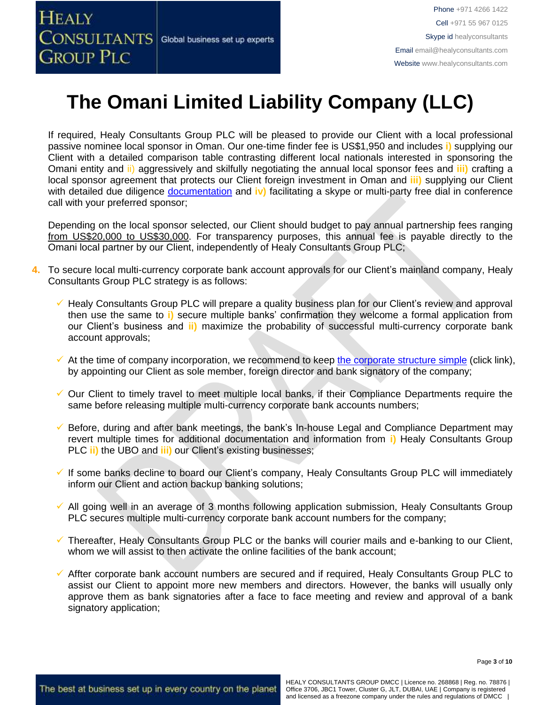If required, Healy Consultants Group PLC will be pleased to provide our Client with a local professional passive nominee local sponsor in Oman. Our one-time finder fee is US\$1,950 and includes **i)** supplying our Client with a detailed comparison table contrasting different local nationals interested in sponsoring the Omani entity and ii) aggressively and skilfully negotiating the annual local sponsor fees and **iii)** crafting a local sponsor agreement that protects our Client foreign investment in Oman and **iii)** supplying our Client with detailed due diligence [documentation](https://www.healyconsultants.com/company-formation/due-diligence/) and **iv)** facilitating a skype or multi-party free dial in conference call with your preferred sponsor;

Depending on the local sponsor selected, our Client should budget to pay annual partnership fees ranging from US\$20,000 to US\$30,000. For transparency purposes, this annual fee is payable directly to the Omani local partner by our Client, independently of Healy Consultants Group PLC;

- **4.** To secure local multi-currency corporate bank account approvals for our Client's mainland company, Healy Consultants Group PLC strategy is as follows:
	- ✓ Healy Consultants Group PLC will prepare a quality business plan for our Client's review and approval then use the same to **i)** secure multiple banks' confirmation they welcome a formal application from our Client's business and **ii)** maximize the probability of successful multi-currency corporate bank account approvals;
	- $\checkmark$  At the time of company incorporation, we recommend to keep [the corporate structure simple](https://www.healyconsultants.com/about-us/complex-client-engagements/simplify-business-setup/) (click link), by appointing our Client as sole member, foreign director and bank signatory of the company;
	- ✓ Our Client to timely travel to meet multiple local banks, if their Compliance Departments require the same before releasing multiple multi-currency corporate bank accounts numbers;
	- Before, during and after bank meetings, the bank's In-house Legal and Compliance Department may revert multiple times for additional documentation and information from **i)** Healy Consultants Group PLC **ii)** the UBO and **iii)** our Client's existing businesses;
	- ✓ If some banks decline to board our Client's company, Healy Consultants Group PLC will immediately inform our Client and action backup banking solutions;
	- ✓ All going well in an average of 3 months following application submission, Healy Consultants Group PLC secures multiple multi-currency corporate bank account numbers for the company;
	- Thereafter, Healy Consultants Group PLC or the banks will courier mails and e-banking to our Client, whom we will assist to then activate the online facilities of the bank account;
	- ✓ Affter corporate bank account numbers are secured and if required, Healy Consultants Group PLC to assist our Client to appoint more new members and directors. However, the banks will usually only approve them as bank signatories after a face to face meeting and review and approval of a bank signatory application;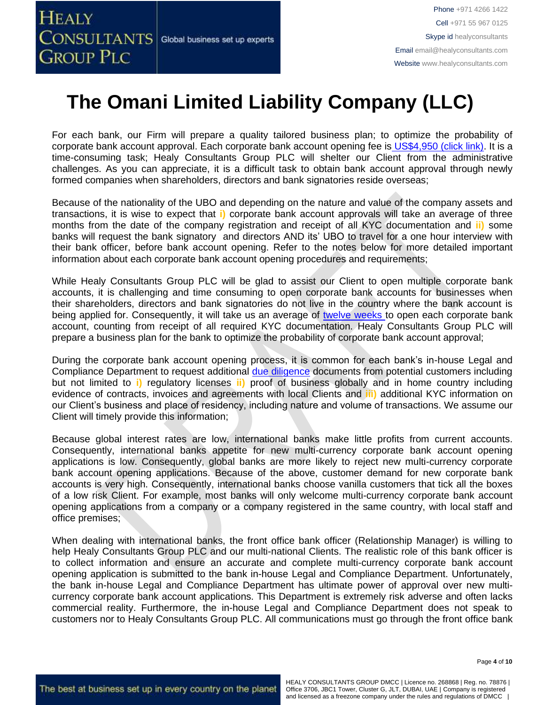For each bank, our Firm will prepare a quality tailored business plan; to optimize the probability of corporate bank account approval. Each corporate bank account opening fee is US\$4,950 [\(click link\).](https://www.healyconsultants.com/global-corporate-banking-for-resident-company/) It is a time-consuming task; Healy Consultants Group PLC will shelter our Client from the administrative challenges. As you can appreciate, it is a difficult task to obtain bank account approval through newly formed companies when shareholders, directors and bank signatories reside overseas;

Because of the nationality of the UBO and depending on the nature and value of the company assets and transactions, it is wise to expect that **i)** corporate bank account approvals will take an average of three months from the date of the company registration and receipt of all KYC documentation and **ii)** some banks will request the bank signatory and directors AND its' UBO to travel for a one hour interview with their bank officer, before bank account opening. Refer to the notes below for more detailed important information about each corporate bank account opening procedures and requirements;

While Healy Consultants Group PLC will be glad to assist our Client to open multiple corporate bank accounts, it is challenging and time consuming to open corporate bank accounts for businesses when their shareholders, directors and bank signatories do not live in the country where the bank account is being applied for. Consequently, it will take us an average of [twelve weeks](http://www.healyconsultants.com/international-banking/bitcoin-business-bank-account/) to open each corporate bank account, counting from receipt of all required KYC documentation. Healy Consultants Group PLC will prepare a business plan for the bank to optimize the probability of corporate bank account approval;

During the corporate bank account opening process, it is common for each bank's in-house Legal and Compliance Department to request additional [due diligence](http://www.healyconsultants.com/due-diligence/) documents from potential customers including but not limited to **i)** regulatory licenses **ii)** proof of business globally and in home country including evidence of contracts, invoices and agreements with local Clients and **iii)** additional KYC information on our Client's business and place of residency, including nature and volume of transactions. We assume our Client will timely provide this information;

Because global interest rates are low, international banks make little profits from current accounts. Consequently, international banks appetite for new multi-currency corporate bank account opening applications is low. Consequently, global banks are more likely to reject new multi-currency corporate bank account opening applications. Because of the above, customer demand for new corporate bank accounts is very high. Consequently, international banks choose vanilla customers that tick all the boxes of a low risk Client. For example, most banks will only welcome multi-currency corporate bank account opening applications from a company or a company registered in the same country, with local staff and office premises;

When dealing with international banks, the front office bank officer (Relationship Manager) is willing to help Healy Consultants Group PLC and our multi-national Clients. The realistic role of this bank officer is to collect information and ensure an accurate and complete multi-currency corporate bank account opening application is submitted to the bank in-house Legal and Compliance Department. Unfortunately, the bank in-house Legal and Compliance Department has ultimate power of approval over new multicurrency corporate bank account applications. This Department is extremely risk adverse and often lacks commercial reality. Furthermore, the in-house Legal and Compliance Department does not speak to customers nor to Healy Consultants Group PLC. All communications must go through the front office bank

Page **4** of **10**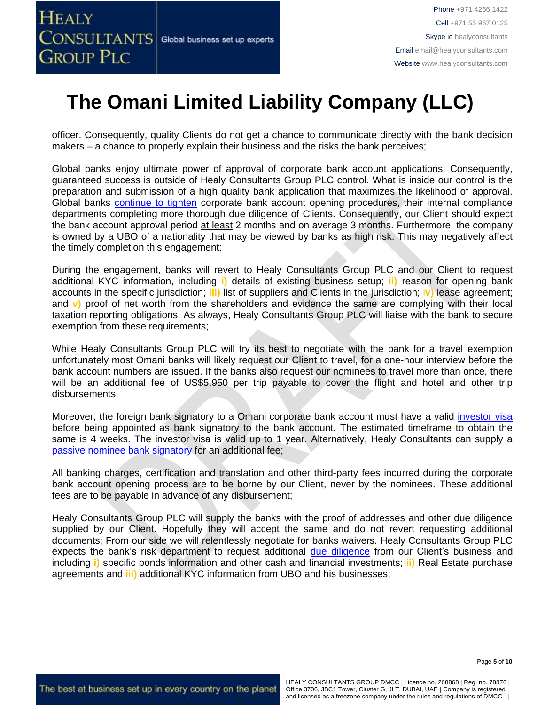Phone +971 4266 1422 Cell +971 55 967 0125 Skype id healyconsultants Email [email@healyconsultants.com](mailto:EMAIL@HEALYCONSULTANTS.COM) Website [www.healyconsultants.com](http://www.healyconsultants.com/)

## **The Omani Limited Liability Company (LLC)**

officer. Consequently, quality Clients do not get a chance to communicate directly with the bank decision makers – a chance to properly explain their business and the risks the bank perceives;

Global banks enjoy ultimate power of approval of corporate bank account applications. Consequently, guaranteed success is outside of Healy Consultants Group PLC control. What is inside our control is the preparation and submission of a high quality bank application that maximizes the likelihood of approval. Global banks [continue to tighten](https://www.healyconsultants.com/international-banking/opening-corporate-bank-accounts/) corporate bank account opening procedures, their internal compliance departments completing more thorough due diligence of Clients. Consequently, our Client should expect the bank account approval period at least 2 months and on average 3 months. Furthermore, the company is owned by a UBO of a nationality that may be viewed by banks as high risk. This may negatively affect the timely completion this engagement;

During the engagement, banks will revert to Healy Consultants Group PLC and our Client to request additional KYC information, including **i)** details of existing business setup; **ii)** reason for opening bank accounts in the specific jurisdiction; **iii)** list of suppliers and Clients in the jurisdiction; i**v)** lease agreement; and **v)** proof of net worth from the shareholders and evidence the same are complying with their local taxation reporting obligations. As always, Healy Consultants Group PLC will liaise with the bank to secure exemption from these requirements:

While Healy Consultants Group PLC will try its best to negotiate with the bank for a travel exemption unfortunately most Omani banks will likely request our Client to travel, for a one-hour interview before the bank account numbers are issued. If the banks also request our nominees to travel more than once, there will be an additional fee of US\$5,950 per trip payable to cover the flight and hotel and other trip disbursements.

Moreover, the foreign bank signatory to a Omani corporate bank account must have a valid [investor visa](https://www.healyconsultants.com/oman-company-registration/formation-support-services/) before being appointed as bank signatory to the bank account. The estimated timeframe to obtain the same is 4 weeks. The investor visa is valid up to 1 year. Alternatively, Healy Consultants can supply a [passive nominee bank signatory](http://www.healyconsultants.com/corporate-banking-services/nominee-bank-signatory/) for an additional fee;

All banking charges, certification and translation and other third-party fees incurred during the corporate bank account opening process are to be borne by our Client, never by the nominees. These additional fees are to be payable in advance of any disbursement;

Healy Consultants Group PLC will supply the banks with the proof of addresses and other due diligence supplied by our Client. Hopefully they will accept the same and do not revert requesting additional documents; From our side we will relentlessly negotiate for banks waivers. Healy Consultants Group PLC expects the bank's risk department to request additional [due diligence](http://www.healyconsultants.com/due-diligence/) from our Client's business and including **i)** specific bonds information and other cash and financial investments; **ii)** Real Estate purchase agreements and **iii)** additional KYC information from UBO and his businesses;

Page **5** of **10**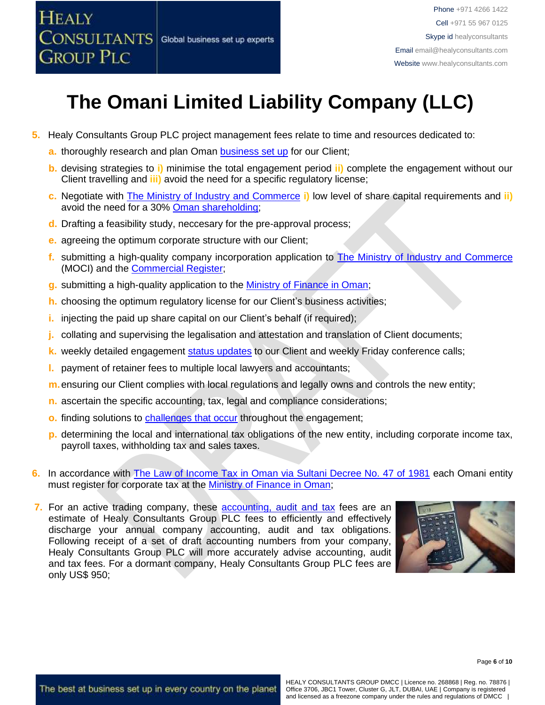

- **5.** Healy Consultants Group PLC project management fees relate to time and resources dedicated to:
	- **a.** thoroughly research and plan Oman **[business set up](http://www.healyconsultants.com/oman-company-registration/)** for our Client;
	- **b.** devising strategies to **i)** minimise the total engagement period **ii)** complete the engagement without our Client travelling and **iii)** avoid the need for a specific regulatory license;
	- **c.** Negotiate with [The Ministry of Industry and Commerce](http://www.mocioman.gov.om/?lang=en-US) **i)** low level of share capital requirements and **ii)** avoid the need for a 30% [Oman shareholding;](http://www.healyconsultants.com/national-shareholder-services/)
	- **d.** Drafting a feasibility study, neccesary for the pre-approval process;
	- **e.** agreeing the optimum corporate structure with our Client;
	- **f.** submitting a high-quality company incorporation application to [The Ministry of Industry and Commerce](http://www.mocioman.gov.om/?lang=en-US) (MOCI) and the **Commercial Register;**
	- **g.** submitting a high-quality application to the [Ministry of Finance in Oman;](http://www.taxoman.gov.om/company_tax.html#main-page)
	- **h.** choosing the optimum regulatory license for our Client's business activities;
	- **i.** injecting the paid up share capital on our Client's behalf (if required);
	- **j.** collating and supervising the legalisation and attestation and translation of Client documents;
	- **k.** weekly detailed engagement [status updates](http://www.healyconsultants.com/index-important-links/weekly-engagement-status-email/) to our Client and weekly Friday conference calls;
	- **l.** payment of retainer fees to multiple local lawyers and accountants;
	- **m.**ensuring our Client complies with local regulations and legally owns and controls the new entity;
	- **n.** ascertain the specific accounting, tax, legal and compliance considerations;
	- **o.** finding solutions to [challenges that occur](http://www.healyconsultants.com/engagement-project-management/) throughout the engagement;
	- **p.** determining the local and international tax obligations of the new entity, including corporate income tax, payroll taxes, withholding tax and sales taxes.
- **6.** In accordance with [The Law of Income Tax in Oman via Sultani](http://www.taxoman.gov.om/companies%20law%20in%20English.pdf) Decree No. 47 of 1981 each Omani entity must register for corporate tax at the **Ministry of Finance in Oman**;
- **7.** For an active trading company, these **accounting**, audit and tax fees are an estimate of Healy Consultants Group PLC fees to efficiently and effectively discharge your annual company accounting, audit and tax obligations. Following receipt of a set of draft accounting numbers from your company, Healy Consultants Group PLC will more accurately advise accounting, audit and tax fees. For a dormant company, Healy Consultants Group PLC fees are only US\$ 950;



Page **6** of **10**

HEALY CONSULTANTS GROUP DMCC | Licence no. 268868 | Reg. no. 78876 | Office 3706, JBC1 Tower, Cluster G, JLT, DUBAI, UAE | Company is registered and licensed as a freezone company under the rules and regulations of DMCC |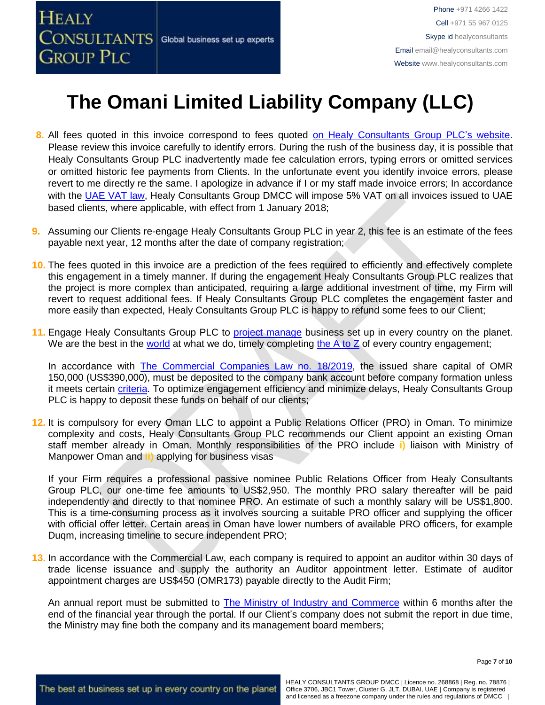

- **8.** All fees quoted in this invoice correspond to fees quoted [on Healy Consultants Group PLC's](http://www.healyconsultants.com/company-registration-fees/) website. Please review this invoice carefully to identify errors. During the rush of the business day, it is possible that Healy Consultants Group PLC inadvertently made fee calculation errors, typing errors or omitted services or omitted historic fee payments from Clients. In the unfortunate event you identify invoice errors, please revert to me directly re the same. I apologize in advance if I or my staff made invoice errors; In accordance with the [UAE VAT law,](https://www.tax.gov.ae/legislation.aspx) Healy Consultants Group DMCC will impose 5% VAT on all invoices issued to UAE based clients, where applicable, with effect from 1 January 2018;
- **9.** Assuming our Clients re-engage Healy Consultants Group PLC in year 2, this fee is an estimate of the fees payable next year, 12 months after the date of company registration;
- **10.** The fees quoted in this invoice are a prediction of the fees required to efficiently and effectively complete this engagement in a timely manner. If during the engagement Healy Consultants Group PLC realizes that the project is more complex than anticipated, requiring a large additional investment of time, my Firm will revert to request additional fees. If Healy Consultants Group PLC completes the engagement faster and more easily than expected, Healy Consultants Group PLC is happy to refund some fees to our Client;
- 11. Engage Healy Consultants Group PLC to project [manage](http://www.healyconsultants.com/project-manage-engagements/) business set up in every country on the planet. We are the best in the [world](http://www.healyconsultants.com/best-in-the-world/) at what we do, timely completing the  $\overline{A}$  to  $\overline{Z}$  of every country engagement;

In accordance with [The Commercial Companies Law no.](http://images.mofcom.gov.cn/om/table/gsf.pdf) 18/2019, the issued share capital of OMR 150,000 (US\$390,000), must be deposited to the company bank account before company formation unless it meets certain [criteria.](http://www.healyconsultants.com/oman-company-registration/business-entity-types/) To optimize engagement efficiency and minimize delays, Healy Consultants Group PLC is happy to deposit these funds on behalf of our clients;

**12.** It is compulsory for every Oman LLC to appoint a Public Relations Officer (PRO) in Oman. To minimize complexity and costs, Healy Consultants Group PLC recommends our Client appoint an existing Oman staff member already in Oman. Monthly responsibilities of the PRO include **i)** liaison with Ministry of Manpower Oman and **ii)** applying for business visas

If your Firm requires a professional passive nominee Public Relations Officer from Healy Consultants Group PLC, our one-time fee amounts to US\$2,950. The monthly PRO salary thereafter will be paid independently and directly to that nominee PRO. An estimate of such a monthly salary will be US\$1,800. This is a time-consuming process as it involves sourcing a suitable PRO officer and supplying the officer with official offer letter. Certain areas in Oman have lower numbers of available PRO officers, for example Duqm, increasing timeline to secure independent PRO;

**13.** In accordance with the Commercial Law, each company is required to appoint an auditor within 30 days of trade license issuance and supply the authority an Auditor appointment letter. Estimate of auditor appointment charges are US\$450 (OMR173) payable directly to the Audit Firm;

An annual report must be submitted to [The Ministry of Industry and Commerce](http://www.mocioman.gov.om/?lang=en-US) within 6 months after the end of the financial year through the portal. If our Client's company does not submit the report in due time, the Ministry may fine both the company and its management board members;

Page **7** of **10**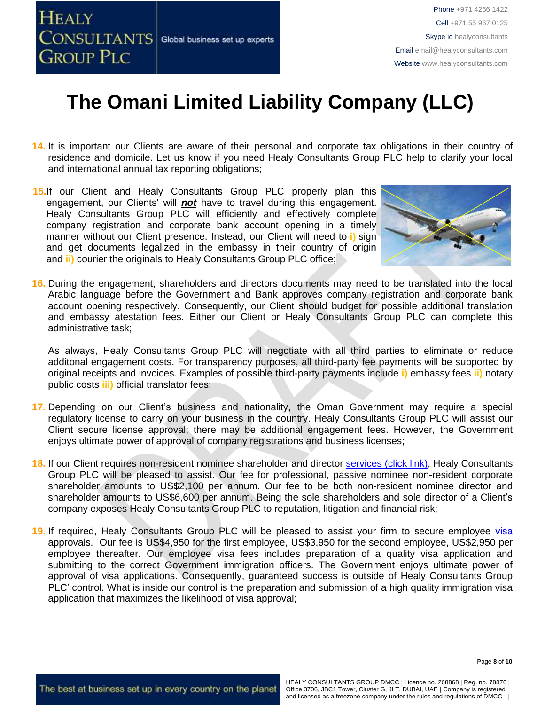

Phone +971 4266 1422 Cell +971 55 967 0125 Skype id healyconsultants Email [email@healyconsultants.com](mailto:EMAIL@HEALYCONSULTANTS.COM) Website [www.healyconsultants.com](http://www.healyconsultants.com/)

#### **The Omani Limited Liability Company (LLC)**

- **14.** It is important our Clients are aware of their personal and corporate tax obligations in their country of residence and domicile. Let us know if you need Healy Consultants Group PLC help to clarify your local and international annual tax reporting obligations;
- **15.**If our Client and Healy Consultants Group PLC properly plan this engagement, our Clients' will *not* have to travel during this engagement. Healy Consultants Group PLC will efficiently and effectively complete company registration and corporate bank account opening in a timely manner without our Client presence. Instead, our Client will need to **i)** sign and get documents legalized in the embassy in their country of origin and **ii)** courier the originals to Healy Consultants Group PLC office;



**16.** During the engagement, shareholders and directors documents may need to be translated into the local Arabic language before the Government and Bank approves company registration and corporate bank account opening respectively. Consequently, our Client should budget for possible additional translation and embassy atestation fees. Either our Client or Healy Consultants Group PLC can complete this administrative task;

As always, Healy Consultants Group PLC will negotiate with all third parties to eliminate or reduce additonal engagement costs. For transparency purposes, all third-party fee payments will be supported by original receipts and invoices. Examples of possible third-party payments include **i)** embassy fees **ii)** notary public costs **iii)** official translator fees;

- **17.** Depending on our Client's business and nationality, the Oman Government may require a special regulatory license to carry on your business in the country. Healy Consultants Group PLC will assist our Client secure license approval; there may be additional engagement fees. However, the Government enjoys ultimate power of approval of company registrations and business licenses;
- **18.** If our Client requires non-resident nominee shareholder and director services [\(click link\),](http://www.healyconsultants.com/corporate-outsourcing-services/nominee-shareholders-directors/) Healy Consultants Group PLC will be pleased to assist. Our fee for professional, passive nominee non-resident corporate shareholder amounts to US\$2,100 per annum. Our fee to be both non-resident nominee director and shareholder amounts to US\$6,600 per annum. Being the sole shareholders and sole director of a Client's company exposes Healy Consultants Group PLC to reputation, litigation and financial risk;
- 19. If required, Healy Consultants Group PLC will be pleased to assist your firm to secure employee [visa](http://www.healyconsultants.com/oman-company-registration/formation-support-services/) approvals. Our fee is US\$4,950 for the first employee, US\$3,950 for the second employee, US\$2,950 per employee thereafter. Our employee visa fees includes preparation of a quality visa application and submitting to the correct Government immigration officers. The Government enjoys ultimate power of approval of visa applications. Consequently, guaranteed success is outside of Healy Consultants Group PLC' control. What is inside our control is the preparation and submission of a high quality immigration visa application that maximizes the likelihood of visa approval;

Page **8** of **10**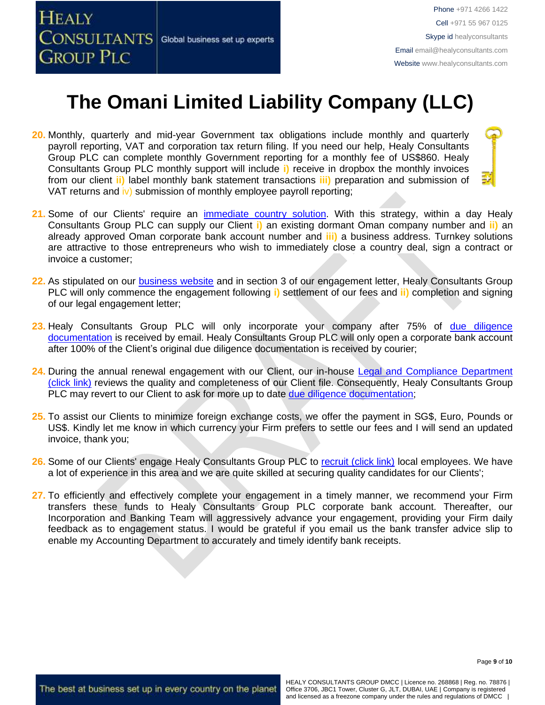

- **20.** Monthly, quarterly and mid-year Government tax obligations include monthly and quarterly payroll reporting, VAT and corporation tax return filing. If you need our help, Healy Consultants Group PLC can complete monthly Government reporting for a monthly fee of US\$860. Healy Consultants Group PLC monthly support will include **i)** receive in dropbox the monthly invoices from our client **ii)** label monthly bank statement transactions **iii)** preparation and submission of VAT returns and iv) submission of monthly employee payroll reporting;
- **21.** Some of our Clients' require an [immediate country solution.](http://www.healyconsultants.com/turnkey-solutions/) With this strategy, within a day Healy Consultants Group PLC can supply our Client **i)** an existing dormant Oman company number and **ii)** an already approved Oman corporate bank account number and **iii)** a business address. Turnkey solutions are attractive to those entrepreneurs who wish to immediately close a country deal, sign a contract or invoice a customer;
- **22.** As stipulated on our [business website](http://www.healyconsultants.com/) and in section 3 of our engagement letter, Healy Consultants Group PLC will only commence the engagement following **i)** settlement of our fees and **ii)** completion and signing of our legal engagement letter;
- **23.** Healy Consultants Group PLC will only incorporate your company after 75% of [due diligence](http://www.healyconsultants.com/due-diligence/)  [documentation](http://www.healyconsultants.com/due-diligence/) is received by email. Healy Consultants Group PLC will only open a corporate bank account after 100% of the Client's original due diligence documentation is received by courier;
- 24. During the annual renewal engagement with our Client, our in-house Legal and Compliance Department [\(click link\)](http://www.healyconsultants.com/about-us/key-personnel/cai-xin-profile/) reviews the quality and completeness of our Client file. Consequently, Healy Consultants Group PLC may revert to our Client to ask for more up to date [due diligence documentation;](http://www.healyconsultants.com/due-diligence/)
- **25.** To assist our Clients to minimize foreign exchange costs, we offer the payment in SG\$, Euro, Pounds or US\$. Kindly let me know in which currency your Firm prefers to settle our fees and I will send an updated invoice, thank you;
- **26.** Some of our Clients' engage Healy Consultants Group PLC to [recruit \(click link\)](http://www.healyconsultants.com/corporate-outsourcing-services/how-we-help-our-clients-recruit-quality-employees/) local employees. We have a lot of experience in this area and we are quite skilled at securing quality candidates for our Clients';
- **27.** To efficiently and effectively complete your engagement in a timely manner, we recommend your Firm transfers these funds to Healy Consultants Group PLC corporate bank account. Thereafter, our Incorporation and Banking Team will aggressively advance your engagement, providing your Firm daily feedback as to engagement status. I would be grateful if you email us the bank transfer advice slip to enable my Accounting Department to accurately and timely identify bank receipts.

Page **9** of **10**

The best at business set up in every country on the planet

HEALY CONSULTANTS GROUP DMCC | Licence no. 268868 | Reg. no. 78876 | Office 3706, JBC1 Tower, Cluster G, JLT, DUBAI, UAE | Company is registered and licensed as a freezone company under the rules and regulations of DMCC |